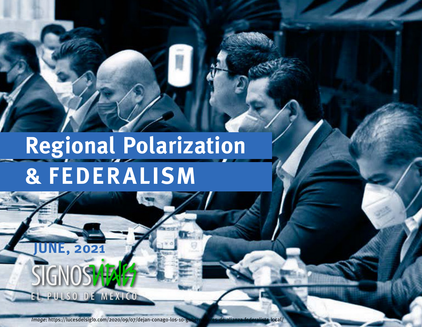# **Regional Polarization & FEDERALISM**

**JUNE, 2021**

EL PULSO DE MEXICO

SIGNOS<sup>+</sup>

*Image*: https://lucesdelsiglo.com/2020/09/07/dejan-conago-los-10-gobernadores-de-alianza-federalista-local/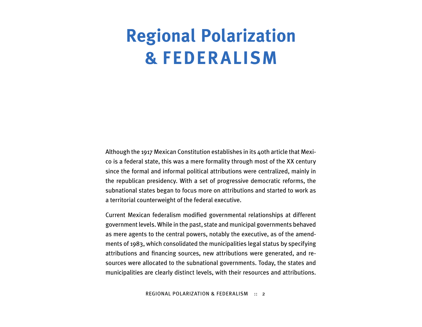# **Regional Polarization & FEDERALISM**

Although the 1917 Mexican Constitution establishes in its 40th article that Mexico is a federal state, this was a mere formality through most of the XX century since the formal and informal political attributions were centralized, mainly in the republican presidency. With a set of progressive democratic reforms, the subnational states began to focus more on attributions and started to work as a territorial counterweight of the federal executive.

Current Mexican federalism modified governmental relationships at different government levels. While in the past, state and municipal governments behaved as mere agents to the central powers, notably the executive, as of the amendments of 1983, which consolidated the municipalities legal status by specifying attributions and financing sources, new attributions were generated, and resources were allocated to the subnational governments. Today, the states and municipalities are clearly distinct levels, with their resources and attributions.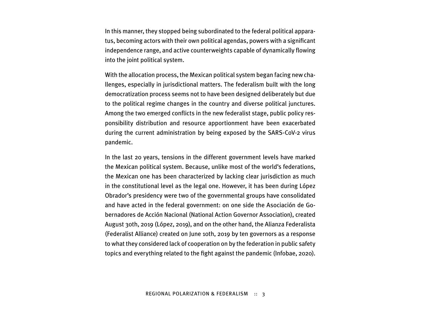In this manner, they stopped being subordinated to the federal political apparatus, becoming actors with their own political agendas, powers with a significant independence range, and active counterweights capable of dynamically flowing into the joint political system.

With the allocation process, the Mexican political system began facing new challenges, especially in jurisdictional matters. The federalism built with the long democratization process seems not to have been designed deliberately but due to the political regime changes in the country and diverse political junctures. Among the two emerged conflicts in the new federalist stage, public policy responsibility distribution and resource apportionment have been exacerbated during the current administration by being exposed by the SARS-CoV-2 virus pandemic.

In the last 20 years, tensions in the different government levels have marked the Mexican political system. Because, unlike most of the world's federations, the Mexican one has been characterized by lacking clear jurisdiction as much in the constitutional level as the legal one. However, it has been during López Obrador's presidency were two of the governmental groups have consolidated and have acted in the federal government: on one side the Asociación de Gobernadores de Acción Nacional (National Action Governor Association), created August 30th, 2019 (López, 2019), and on the other hand, the Alianza Federalista (Federalist Alliance) created on June 10th, 2019 by ten governors as a response to what they considered lack of cooperation on by the federation in public safety topics and everything related to the fight against the pandemic (Infobae, 2020).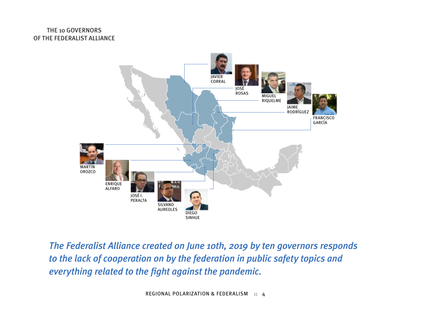### THE 10 GOVERNORS OF THE FEDERALIST ALLIANCE



*The Federalist Alliance created on June 10th, 2019 by ten governors responds to the lack of cooperation on by the federation in public safety topics and everything related to the fight against the pandemic.*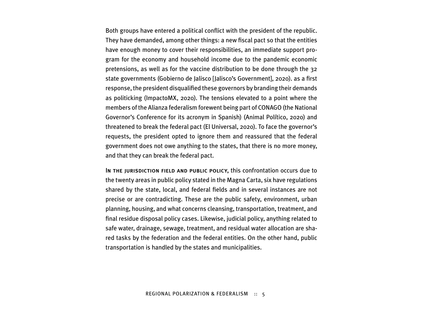Both groups have entered a political conflict with the president of the republic. They have demanded, among other things: a new fiscal pact so that the entities have enough money to cover their responsibilities, an immediate support program for the economy and household income due to the pandemic economic pretensions, as well as for the vaccine distribution to be done through the 32 state governments (Gobierno de Jalisco [Jalisco's Government], 2020). as a first response, the president disqualified these governors by branding their demands as politicking (ImpactoMX, 2020). The tensions elevated to a point where the members of the Alianza federalism forewent being part of CONAGO (the National Governor's Conference for its acronym in Spanish) (Animal Político, 2020) and threatened to break the federal pact (El Universal, 2020). To face the governor's requests, the president opted to ignore them and reassured that the federal government does not owe anything to the states, that there is no more money, and that they can break the federal pact.

In the jurisdiction field and public policy, this confrontation occurs due to the twenty areas in public policy stated in the Magna Carta, six have regulations shared by the state, local, and federal fields and in several instances are not precise or are contradicting. These are the public safety, environment, urban planning, housing, and what concerns cleansing, transportation, treatment, and final residue disposal policy cases. Likewise, judicial policy, anything related to safe water, drainage, sewage, treatment, and residual water allocation are shared tasks by the federation and the federal entities. On the other hand, public transportation is handled by the states and municipalities.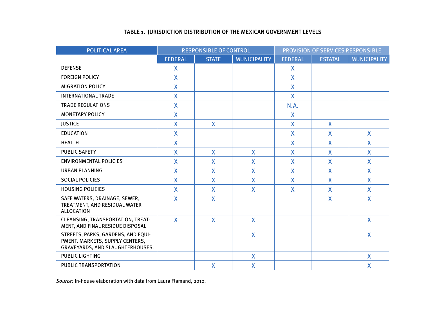#### TABLE 1. JURISDICTION DISTRIBUTION OF THE MEXICAN GOVERNMENT LEVELS

| <b>POLITICAL AREA</b>                                                                                     | <b>RESPONSIBLE OF CONTROL</b> |                         |              | PROVISION OF SERVICES RESPONSIBLE |                         |              |
|-----------------------------------------------------------------------------------------------------------|-------------------------------|-------------------------|--------------|-----------------------------------|-------------------------|--------------|
|                                                                                                           | <b>FEDERAL</b>                | <b>STATE</b>            | MUNICIPALITY | <b>FEDERAL</b>                    | <b>ESTATAL</b>          | MUNICIPALITY |
| <b>DEFENSE</b>                                                                                            | $\mathsf{X}$                  |                         |              | X                                 |                         |              |
| <b>FOREIGN POLICY</b>                                                                                     | $\mathsf{X}$                  |                         |              | X                                 |                         |              |
| <b>MIGRATION POLICY</b>                                                                                   | X                             |                         |              | X                                 |                         |              |
| <b>INTERNATIONAL TRADE</b>                                                                                | $\mathsf{X}$                  |                         |              | X                                 |                         |              |
| <b>TRADE REGULATIONS</b>                                                                                  | $\mathsf{X}$                  |                         |              | N.A.                              |                         |              |
| <b>MONETARY POLICY</b>                                                                                    | $\mathsf{X}$                  |                         |              | X                                 |                         |              |
| <b>JUSTICE</b>                                                                                            | $\mathsf{X}$                  | X                       |              | $\mathsf{X}$                      | X                       |              |
| <b>EDUCATION</b>                                                                                          | X                             |                         |              | $\mathsf{X}$                      | X                       | X            |
| <b>HEALTH</b>                                                                                             | X                             |                         |              | X                                 | X                       | X            |
| <b>PUBLIC SAFETY</b>                                                                                      | $\mathsf{X}$                  | X                       | X            | $\mathsf{X}$                      | X                       | X            |
| <b>ENVIRONMENTAL POLICIES</b>                                                                             | $\mathsf{X}$                  | $\overline{\mathsf{X}}$ | X            | $\mathsf{X}$                      | $\overline{\mathsf{X}}$ | X            |
| <b>URBAN PLANNING</b>                                                                                     | $\mathsf{X}$                  | X                       | X            | X                                 | X                       | X            |
| <b>SOCIAL POLICIES</b>                                                                                    | $\mathsf{X}$                  | X                       | X            | X                                 | X                       | X            |
| <b>HOUSING POLICIES</b>                                                                                   | $\mathsf{X}$                  | X                       | X            | X                                 | X                       | $\mathsf{X}$ |
| SAFE WATERS, DRAINAGE, SEWER,<br>TREATMENT, AND RESIDUAL WATER<br><b>ALLOCATION</b>                       | $\mathsf{X}$                  | X                       |              |                                   | X                       | X            |
| CLEANSING, TRANSPORTATION, TREAT-<br>MENT, AND FINAL RESIDUE DISPOSAL                                     | $\mathsf{X}$                  | X                       | $\mathsf{X}$ |                                   |                         | $\mathsf{X}$ |
| STREETS, PARKS, GARDENS, AND EQUI-<br>PMENT. MARKETS, SUPPLY CENTERS,<br>GRAVEYARDS, AND SLAUGHTERHOUSES. |                               |                         | $\mathsf{X}$ |                                   |                         | $\mathsf{X}$ |
| <b>PUBLIC LIGHTING</b>                                                                                    |                               |                         | $\mathsf{X}$ |                                   |                         | X            |
| PUBLIC TRANSPORTATION                                                                                     |                               | X                       | $\mathsf{X}$ |                                   |                         | X            |

*Source*: In-house elaboration with data from Laura Flamand, 2010.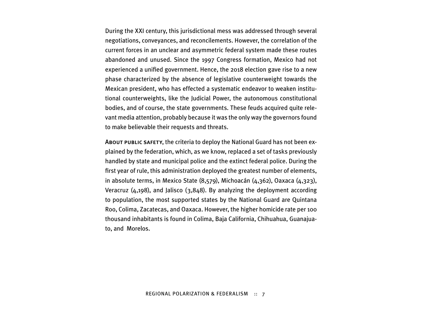During the XXI century, this jurisdictional mess was addressed through several negotiations, conveyances, and reconcilements. However, the correlation of the current forces in an unclear and asymmetric federal system made these routes abandoned and unused. Since the 1997 Congress formation, Mexico had not experienced a unified government. Hence, the 2018 election gave rise to a new phase characterized by the absence of legislative counterweight towards the Mexican president, who has effected a systematic endeavor to weaken institutional counterweights, like the Judicial Power, the autonomous constitutional bodies, and of course, the state governments. These feuds acquired quite relevant media attention, probably because it was the only way the governors found to make believable their requests and threats.

About public safety, the criteria to deploy the National Guard has not been explained by the federation, which, as we know, replaced a set of tasks previously handled by state and municipal police and the extinct federal police. During the first year of rule, this administration deployed the greatest number of elements, in absolute terms, in Mexico State (8,579), Michoacán (4,362), Oaxaca (4,323), Veracruz (4,198), and Jalisco (3,848). By analyzing the deployment according to population, the most supported states by the National Guard are Quintana Roo, Colima, Zacatecas, and Oaxaca. However, the higher homicide rate per 100 thousand inhabitants is found in Colima, Baja California, Chihuahua, Guanajuato, and Morelos.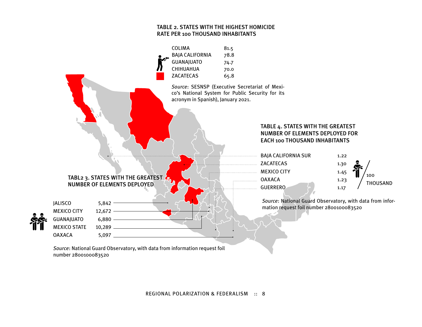#### TABLE 2. STATES WITH THE HIGHEST HOMICIDE RATE PER 100 THOUSAND INHABITANTS



*Source*: National Guard Observatory, with data from information request foil number 2800100083520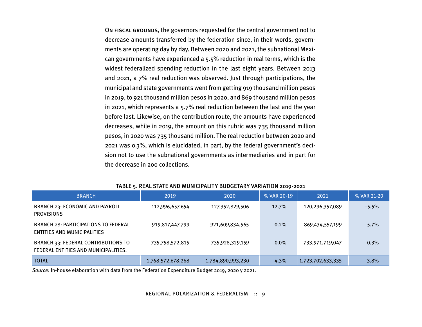On fiscal grounds, the governors requested for the central government not to decrease amounts transferred by the federation since, in their words, governments are operating day by day. Between 2020 and 2021, the subnational Mexican governments have experienced a 5.5% reduction in real terms, which is the widest federalized spending reduction in the last eight years. Between 2013 and 2021, a 7% real reduction was observed. Just through participations, the municipal and state governments went from getting 919 thousand million pesos in 2019, to 921 thousand million pesos in 2020, and 869 thousand million pesos in 2021, which represents a 5.7% real reduction between the last and the year before last. Likewise, on the contribution route, the amounts have experienced decreases, while in 2019, the amount on this rubric was 735 thousand million pesos, in 2020 was 735 thousand million. The real reduction between 2020 and 2021 was 0.3%, which is elucidated, in part, by the federal government's decision not to use the subnational governments as intermediaries and in part for the decrease in 200 collections.

| <b>BRANCH</b>                                                               | 2019              | 2020              | % VAR 20-19 | 2021              | % VAR 21-20 |
|-----------------------------------------------------------------------------|-------------------|-------------------|-------------|-------------------|-------------|
| BRANCH 23: ECONOMIC AND PAYROLL<br><b>PROVISIONS</b>                        | 112,996,657,654   | 127,352,829,506   | 12.7%       | 120,296,357,089   | $-5.5%$     |
| <b>BRANCH 28: PARTICIPATIONS TO FEDERAL</b><br>ENTITIES AND MUNICIPALITIES  | 919,817,447,799   | 921,609,834,565   | 0.2%        | 869,434,557,199   | $-5.7\%$    |
| BRANCH 33: FEDERAL CONTRIBUTIONS TO<br>FEDERAL ENTITIES AND MUNICIPALITIES. | 735,758,572,815   | 735,928,329,159   | $0.0\%$     | 733,971,719,047   | $-0.3\%$    |
| <b>TOTAL</b>                                                                | 1,768,572,678,268 | 1,784,890,993,230 | 4.3%        | 1,723,702,633,335 | $-3.8%$     |

#### TABLE 5. REAL STATE AND MUNICIPALITY BUDGETARY VARIATION 2019-2021

*Source*: In-house elaboration with data from the Federation Expenditure Budget 2019, 2020 y 2021.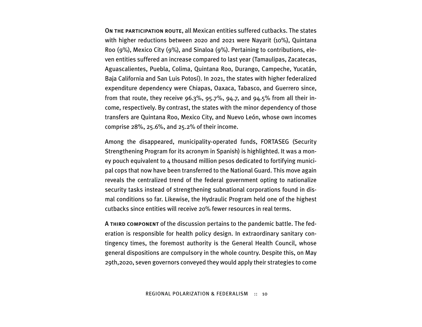On the participation route, all Mexican entities suffered cutbacks. The states with higher reductions between 2020 and 2021 were Nayarit (10%), Quintana Roo (9%), Mexico City (9%), and Sinaloa (9%). Pertaining to contributions, eleven entities suffered an increase compared to last year (Tamaulipas, Zacatecas, Aguascalientes, Puebla, Colima, Quintana Roo, Durango, Campeche, Yucatán, Baja California and San Luis Potosí). In 2021, the states with higher federalized expenditure dependency were Chiapas, Oaxaca, Tabasco, and Guerrero since, from that route, they receive 96.3%, 95.7%, 94.7, and 94.5% from all their income, respectively. By contrast, the states with the minor dependency of those transfers are Quintana Roo, Mexico City, and Nuevo León, whose own incomes comprise 28%, 25.6%, and 25.2% of their income.

Among the disappeared, municipality-operated funds, FORTASEG (Security Strengthening Program for its acronym in Spanish) is highlighted. It was a money pouch equivalent to  $\mu$  thousand million pesos dedicated to fortifying municipal cops that now have been transferred to the National Guard. This move again reveals the centralized trend of the federal government opting to nationalize security tasks instead of strengthening subnational corporations found in dismal conditions so far. Likewise, the Hydraulic Program held one of the highest cutbacks since entities will receive 20% fewer resources in real terms.

A THIRD COMPONENT of the discussion pertains to the pandemic battle. The federation is responsible for health policy design. In extraordinary sanitary contingency times, the foremost authority is the General Health Council, whose general dispositions are compulsory in the whole country. Despite this, on May 29th,2020, seven governors conveyed they would apply their strategies to come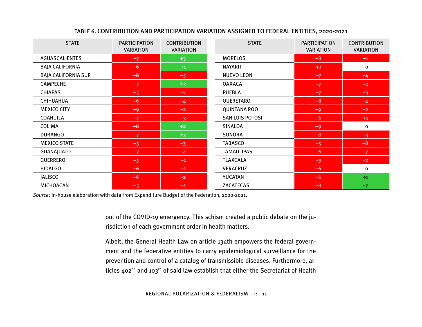| <b>STATE</b>               | <b>PARTICIPATION</b><br><b>VARIATION</b> | <b>CONTRIBUTION</b><br><b>VARIATION</b> | <b>STATE</b>           | <b>PARTICIPATION</b><br><b>VARIATION</b> | <b>CONTRIBUTION</b><br><b>VARIATION</b> |
|----------------------------|------------------------------------------|-----------------------------------------|------------------------|------------------------------------------|-----------------------------------------|
| <b>AGUASCALIENTES</b>      | $-7$                                     | $+3$                                    | <b>MORELOS</b>         | $-8$                                     | $-1$                                    |
| <b>BAJA CALIFORNIA</b>     | $-6$                                     | $+1$                                    | NAYARIT                | $-10$                                    | 0                                       |
| <b>BAJA CALIFORNIA SUR</b> | $-8$                                     | $-5$                                    | <b>NUEVO LEON</b>      | $-7$                                     | $-4$                                    |
| <b>CAMPECHE</b>            | $-7$                                     | $+2$                                    | <b>OAXACA</b>          | $-7$                                     | $-1$                                    |
| <b>CHIAPAS</b>             | $-5$                                     | $-1$                                    | <b>PUEBLA</b>          | $-7$                                     | $+3$                                    |
| CHIHUAHUA                  | $-6$                                     | $-4$                                    | QUERETARO              | $-8$                                     | $-2$                                    |
| <b>MEXICO CITY</b>         | $-9$                                     | $-2$                                    | <b>QUINTANA ROO</b>    | $-9$                                     | $+2$                                    |
| <b>COAHUILA</b>            | $-7$                                     | $-3$                                    | <b>SAN LUIS POTOSI</b> | $-6$                                     | $+1$                                    |
| COLIMA                     | $-8$                                     | $+2$                                    | <b>SINALOA</b>         | $-9$                                     | 0                                       |
| <b>DURANGO</b>             | $-7$                                     | $+2$                                    | SONORA                 | $-8$                                     | $-3$                                    |
| <b>MEXICO STATE</b>        | $-5$                                     | $-3$                                    | <b>TABASCO</b>         | $-5$                                     | $-8$                                    |
| <b>GUANAJUATO</b>          | $-7$                                     | $-4$                                    | <b>TAMAULIPAS</b>      | $-6$                                     | $+7$                                    |
| <b>GUERRERO</b>            | $-5$                                     | $-1$                                    | <b>TLAXCALA</b>        | $-3$                                     | $-2$                                    |
| <b>HIDALGO</b>             | $-6$                                     | $-2$                                    | VERACRUZ               | $-6$                                     | 0                                       |
| <b>JALISCO</b>             | $-6$                                     | $-2$                                    | YUCATAN                | $-6$                                     | $+1$                                    |
| MICHOACAN                  | $-5$                                     | $-2$                                    | <b>ZACATECAS</b>       | $-8$                                     | $+7$                                    |

#### TABLE 6. CONTRIBUTION AND PARTICIPATION VARIATION ASSIGNED TO FEDERAL ENTITIES, 2020-2021

*Source*: In-house elaboration with data from Expenditure Budget of the Federation, 2020-2021.

out of the COVID-19 emergency. This schism created a public debate on the jurisdiction of each government order in health matters.

Albeit, the General Health Law on article 134th empowers the federal government and the federative entities to carry epidemiological surveillance for the prevention and control of a catalog of transmissible diseases. Furthermore, articles 402<sup>nd</sup> and 103<sup>rd</sup> of said law establish that either the Secretariat of Health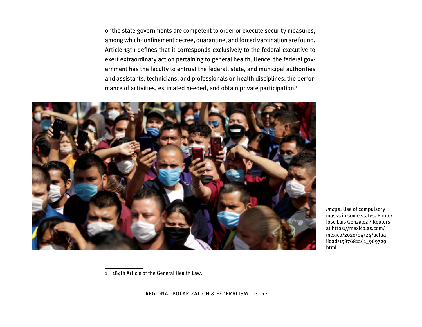or the state governments are competent to order or execute security measures, among which confinement decree, quarantine, and forced vaccination are found. Article 13th defines that it corresponds exclusively to the federal executive to exert extraordinary action pertaining to general health. Hence, the federal government has the faculty to entrust the federal, state, and municipal authorities and assistants, technicians, and professionals on health disciplines, the performance of activities, estimated needed, and obtain private participation.1



*Image*: Use of compulsory masks in some states. Photo: José Luis González / Reuters at https://mexico.as.com/ mexico/2020/04/24/actualidad/1587681261\_969729. html

1 184th Article of the General Health Law.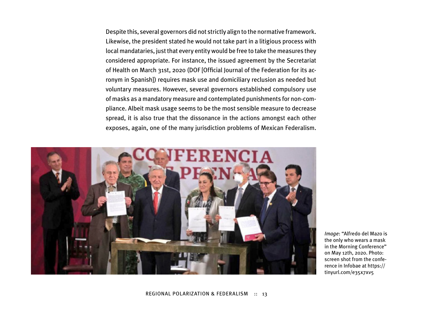Despite this, several governors did not strictly align to the normative framework. Likewise, the president stated he would not take part in a litigious process with local mandataries, just that every entity would be free to take the measures they considered appropriate. For instance, the issued agreement by the Secretariat of Health on March 31st, 2020 (DOF [Official Journal of the Federation for its acronym in Spanish]) requires mask use and domiciliary reclusion as needed but voluntary measures. However, several governors established compulsory use of masks as a mandatory measure and contemplated punishments for non-compliance. Albeit mask usage seems to be the most sensible measure to decrease spread, it is also true that the dissonance in the actions amongst each other exposes, again, one of the many jurisdiction problems of Mexican Federalism.



*Image*: "Alfredo del Mazo is the only who wears a mask in the Morning Conference" on May 12th, 2020. Photo: screen shot from the conference in Infobae at https:// tinyurl.com/e35x7xv5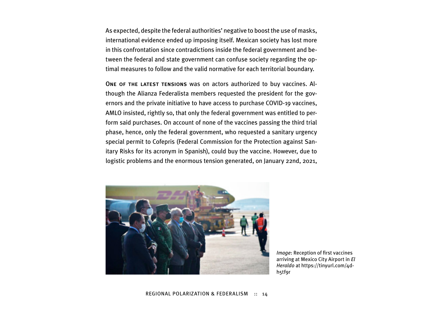As expected, despite the federal authorities' negative to boost the use of masks, international evidence ended up imposing itself. Mexican society has lost more in this confrontation since contradictions inside the federal government and between the federal and state government can confuse society regarding the optimal measures to follow and the valid normative for each territorial boundary.

ONE OF THE LATEST TENSIONS was on actors authorized to buy vaccines. Although the Alianza Federalista members requested the president for the governors and the private initiative to have access to purchase COVID-19 vaccines, AMLO insisted, rightly so, that only the federal government was entitled to perform said purchases. On account of none of the vaccines passing the third trial phase, hence, only the federal government, who requested a sanitary urgency special permit to Cofepris (Federal Commission for the Protection against Sanitary Risks for its acronym in Spanish), could buy the vaccine. However, due to logistic problems and the enormous tension generated, on January 22nd, 2021,



*Image*: Reception of first vaccines arriving at Mexico City Airport in *El Heraldo* at https://tinyurl.com/4dh5tf9r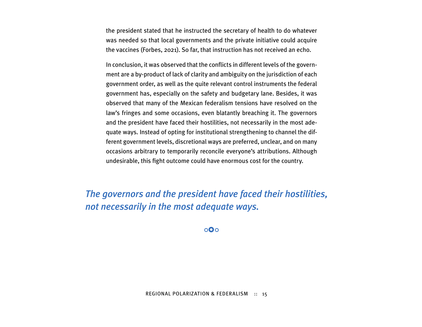the president stated that he instructed the secretary of health to do whatever was needed so that local governments and the private initiative could acquire the vaccines (Forbes, 2021). So far, that instruction has not received an echo.

In conclusion, it was observed that the conflicts in different levels of the government are a by-product of lack of clarity and ambiguity on the jurisdiction of each government order, as well as the quite relevant control instruments the federal government has, especially on the safety and budgetary lane. Besides, it was observed that many of the Mexican federalism tensions have resolved on the law's fringes and some occasions, even blatantly breaching it. The governors and the president have faced their hostilities, not necessarily in the most adequate ways. Instead of opting for institutional strengthening to channel the different government levels, discretional ways are preferred, unclear, and on many occasions arbitrary to temporarily reconcile everyone's attributions. Although undesirable, this fight outcome could have enormous cost for the country.

*The governors and the president have faced their hostilities, not necessarily in the most adequate ways.* 

 $\overline{O}$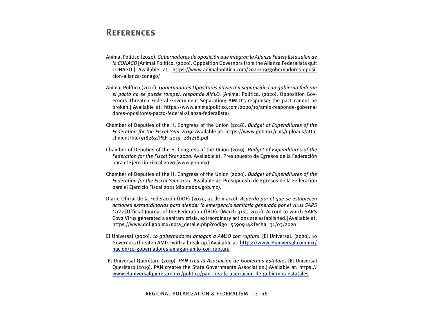## **References**

- Animal Político (2020). *Gobernadores de oposición que integran la Alianza Federalista salen de la CONAGO* [Animal Político. (2020). Opposition Governors from the Alianza Federalista quit CONAGO.] Available at: [https://www.animalpolitico.com/2020/09/gobernadores-oposi](https://www.animalpolitico.com/2020/09/gobernadores-oposicion-alianza-conago/)[cion-alianza-conago/](https://www.animalpolitico.com/2020/09/gobernadores-oposicion-alianza-conago/)
- Animal Político (2020). *Gobernadores Opositores advierten separación con gobierno federal; el pacto no se puede romper, responde AMLO.* [Animal Político. (2020). Opposition Governors Threaten Federal Government Separation; AMLO's response; the pact cannot be broken.] Available at: [https://www.animalpolitico.com/2020/10/amlo-responde-goberna](https://www.animalpolitico.com/2020/10/amlo-responde-gobernadores-opositores-pacto-federal-alianza-federalista/)[dores-opositores-pacto-federal-alianza-federalista/](https://www.animalpolitico.com/2020/10/amlo-responde-gobernadores-opositores-pacto-federal-alianza-federalista/)
- Chamber of Deputies of the H. Congress of the Union (2018). *Budget of Expenditures of the Federation for the Fiscal Year 2019*. Available at: https://www.gob.mx/cms/uploads/attachment/file/518262/PEF\_2019\_281218.pdf
- Chamber of Deputies of the H. Congress of the Union (2019). *Budget of Expenditures of the Federation for the Fiscal Year 2020*. Available at: Presupuesto de Egresos de la Federación para el Ejercicio Fiscal 2020 (www.gob.mx).
- Chamber of Deputies of the H. Congress of the Union (2020). *Budget of Expenditures of the Federation for the Fiscal Year 2021.* Available at: Presupuesto de Egresos de la Federación para el Ejercicio Fiscal 2021 (diputados.gob.mx).
- Diario Oficial de la Federación (DOF) (2020, 31 de marzo). *Acuerdo por el que se establecen acciones extraordinarias para atender la emergencia sanitaria generada por el virus SARS CoV2* [Official Journal of the Federation (DOF). (March 31st, 2020). Accord to which SARS Cov2 Virus generated a sanitary crisis, extraordinary actions are established.] Available at: [https://www.dof.gob.mx/nota\\_detalle.php?codigo=5590914&fecha=31/03/2020](https://www.dof.gob.mx/nota_detalle.php?codigo=5590914&fecha=31/03/2020)
- El Universal (2020). *10 gobernadores amagan a AMLO con ruptura*. [El Universal. (2020). 10 Governors threaten AMLO with a break-up.] Available at: [https://www.eluniversal.com.mx/](https://www.eluniversal.com.mx/nacion/10-gobernadores-amagan-amlo-con-ruptura) [nacion/10-gobernadores-amagan-amlo-con-ruptura](https://www.eluniversal.com.mx/nacion/10-gobernadores-amagan-amlo-con-ruptura)
- El Universal Querétaro (2019). *PAN crea la Asociación de Gobiernos Estatales* [El Universal Querétaro.(2019). PAN creates the State Governments Association.] Available at: [https://](https://www.eluniversalqueretaro.mx/politica/pan-crea-la-asociacion-de-gobiernos-estatales) [www.eluniversalqueretaro.mx/politica/pan-crea-la-asociacion-de-gobiernos-estatales](https://www.eluniversalqueretaro.mx/politica/pan-crea-la-asociacion-de-gobiernos-estatales)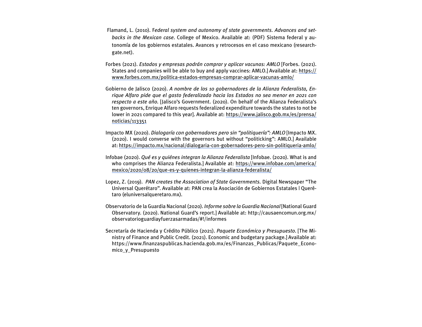- Flamand, L. (2010). F*ederal system and autonomy of state governments. Advances and setbacks in the Mexican case*. College of Mexico. Available at: (PDF) Sistema federal y autonomía de los gobiernos estatales. Avances y retrocesos en el caso mexicano (researchgate.net).
- Forbes (2021). *Estados y empresas podrán comprar y aplicar vacunas: AMLO* [Forbes. (2021). States and companies will be able to buy and apply vaccines: AMLO.] Available at: [https://](https://www.forbes.com.mx/politica-estados-empresas-comprar-aplicar-vacunas-amlo/) [www.forbes.com.mx/politica-estados-empresas-comprar-aplicar-vacunas-amlo/](https://www.forbes.com.mx/politica-estados-empresas-comprar-aplicar-vacunas-amlo/)
- Gobierno de Jalisco (2020). *A nombre de los 10 gobernadores de la Alianza Federalista, Enrique Alfaro pide que el gasto federalizado hacia los Estados no sea menor en 2021 con respecto a este año.* [Jalisco's Government. (2020). On behalf of the Alianza Federalista's ten governors, Enrique Alfaro requests federalized expenditure towards the states to not be lower in 2021 compared to this year]. Available at: [https://www.jalisco.gob.mx/es/prensa/](https://www.jalisco.gob.mx/es/prensa/noticias/113351) [noticias/113351](https://www.jalisco.gob.mx/es/prensa/noticias/113351)
- Impacto MX (2020). *Dialogaría con gobernadores pero sin "politiquería": AMLO* [Impacto MX. (2020). I would converse with the governors but without "politicking": AMLO.] Available at:<https://impacto.mx/nacional/dialogaria-con-gobernadores-pero-sin-politiqueria-amlo/>
- Infobae (2020). *Qué es y quiénes integran la Alianza Federalista* [Infobae. (2020). What is and who comprises the Alianza Federalista.] Available at: [https://www.infobae.com/america/](https://www.infobae.com/america/mexico/2020/08/20/que-es-y-quienes-integran-la-alianza-federalista/) [mexico/2020/08/20/que-es-y-quienes-integran-la-alianza-federalista/](https://www.infobae.com/america/mexico/2020/08/20/que-es-y-quienes-integran-la-alianza-federalista/)
- Lopez, Z. (2019). *PAN creates the Association of State Governments.* Digital Newspaper "The Universal Querétaro". Available at: PAN crea la Asociación de Gobiernos Estatales | Querétaro (eluniversalqueretaro.mx).
- Observatorio de la Guardia Nacional (2020). *Informe sobre la Guardia Nacional* [National Guard Observatory. (2020). National Guard's report.] Available at: http://causaencomun.org.mx/ observatorioguardiayfuerzasarmadas/#!/informes
- Secretaría de Hacienda y Crédito Público (2021). *Paquete Económico y Presupuesto*. [The Ministry of Finance and Public Credit. (2021). Economic and budgetary package.] Available at: [https://www.finanzaspublicas.hacienda.gob.mx/es/Finanzas\\_Publicas/Paquete\\_Econo](https://www.finanzaspublicas.hacienda.gob.mx/es/Finanzas_Publicas/Paquete_Economico_y_Presupuesto)[mico\\_y\\_Presupuesto](https://www.finanzaspublicas.hacienda.gob.mx/es/Finanzas_Publicas/Paquete_Economico_y_Presupuesto)